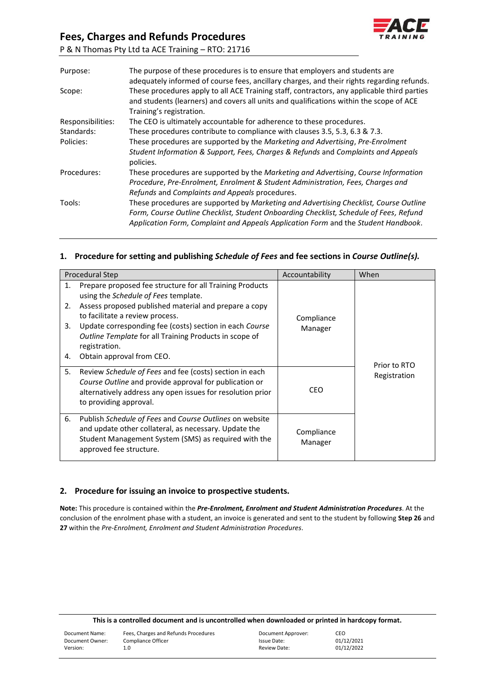## **Fees, Charges and Refunds Procedures**



P & N Thomas Pty Ltd ta ACE Training – RTO: 21716

| Purpose:          | The purpose of these procedures is to ensure that employers and students are<br>adequately informed of course fees, ancillary charges, and their rights regarding refunds.                                                                                            |
|-------------------|-----------------------------------------------------------------------------------------------------------------------------------------------------------------------------------------------------------------------------------------------------------------------|
| Scope:            | These procedures apply to all ACE Training staff, contractors, any applicable third parties<br>and students (learners) and covers all units and qualifications within the scope of ACE<br>Training's registration.                                                    |
| Responsibilities: | The CEO is ultimately accountable for adherence to these procedures.                                                                                                                                                                                                  |
| Standards:        | These procedures contribute to compliance with clauses 3.5, 5.3, 6.3 & 7.3.                                                                                                                                                                                           |
| Policies:         | These procedures are supported by the Marketing and Advertising, Pre-Enrolment<br>Student Information & Support, Fees, Charges & Refunds and Complaints and Appeals<br>policies.                                                                                      |
| Procedures:       | These procedures are supported by the Marketing and Advertising, Course Information<br>Procedure, Pre-Enrolment, Enrolment & Student Administration, Fees, Charges and<br>Refunds and Complaints and Appeals procedures.                                              |
| Tools:            | These procedures are supported by Marketing and Advertising Checklist, Course Outline<br>Form, Course Outline Checklist, Student Onboarding Checklist, Schedule of Fees, Refund<br>Application Form, Complaint and Appeals Application Form and the Student Handbook. |

## **1. Procedure for setting and publishing** *Schedule of Fees* **and fee sections in** *Course Outline(s).*

|                      | <b>Procedural Step</b>                                                                                                                                                                                                                                                                                                                                          | Accountability        | When         |
|----------------------|-----------------------------------------------------------------------------------------------------------------------------------------------------------------------------------------------------------------------------------------------------------------------------------------------------------------------------------------------------------------|-----------------------|--------------|
| 1.<br>2.<br>3.<br>4. | Prepare proposed fee structure for all Training Products<br>using the Schedule of Fees template.<br>Assess proposed published material and prepare a copy<br>to facilitate a review process.<br>Update corresponding fee (costs) section in each Course<br>Outline Template for all Training Products in scope of<br>registration.<br>Obtain approval from CEO. | Compliance<br>Manager | Prior to RTO |
| 5.                   | Review Schedule of Fees and fee (costs) section in each<br>Course Outline and provide approval for publication or<br>alternatively address any open issues for resolution prior<br>to providing approval.                                                                                                                                                       | CEO.                  | Registration |
| 6.                   | Publish Schedule of Fees and Course Outlines on website<br>and update other collateral, as necessary. Update the<br>Student Management System (SMS) as required with the<br>approved fee structure.                                                                                                                                                             | Compliance<br>Manager |              |

### **2. Procedure for issuing an invoice to prospective students.**

**Note:** This procedure is contained within the *Pre-Enrolment, Enrolment and Student Administration Procedures*. At the conclusion of the enrolment phase with a student, an invoice is generated and sent to the student by following **Step 26** and **27** within the *Pre-Enrolment, Enrolment and Student Administration Procedures*.

| This is a controlled document and is uncontrolled when downloaded or printed in hardcopy format. |                                      |                    |            |
|--------------------------------------------------------------------------------------------------|--------------------------------------|--------------------|------------|
| Document Name:                                                                                   | Fees, Charges and Refunds Procedures | Document Approver: | CEO        |
| Document Owner:                                                                                  | Compliance Officer                   | Issue Date:        | 01/12/2021 |
| Version:                                                                                         | 1.0                                  | Review Date:       | 01/12/2022 |